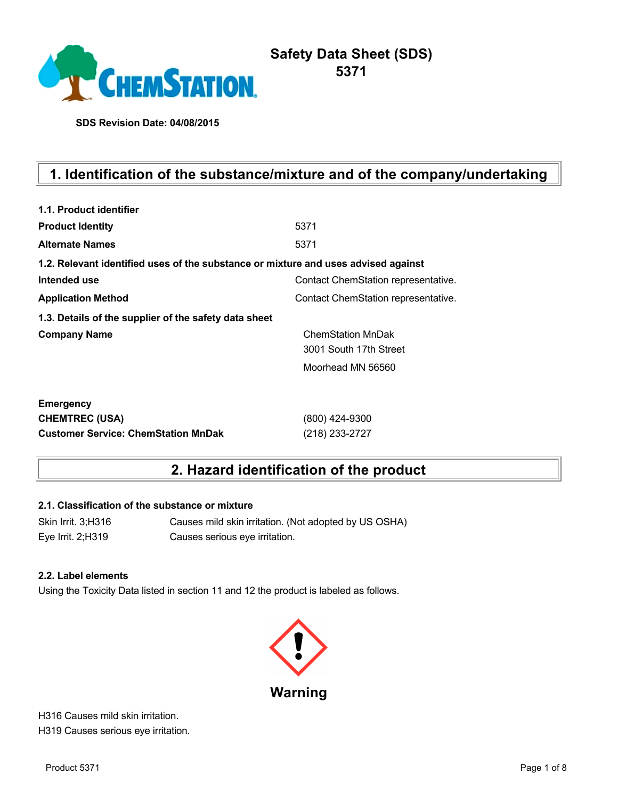

# **Safety Data Sheet (SDS) 5371**

**SDS Revision Date: 04/08/2015**

# **1. Identification of the substance/mixture and of the company/undertaking**

| 1.1. Product identifier                                                            |                                     |
|------------------------------------------------------------------------------------|-------------------------------------|
| <b>Product Identity</b>                                                            | 5371                                |
| <b>Alternate Names</b>                                                             | 5371                                |
| 1.2. Relevant identified uses of the substance or mixture and uses advised against |                                     |
| Intended use                                                                       | Contact ChemStation representative. |
| <b>Application Method</b>                                                          | Contact ChemStation representative. |
| 1.3. Details of the supplier of the safety data sheet                              |                                     |
| <b>Company Name</b>                                                                | <b>ChemStation MnDak</b>            |
|                                                                                    | 3001 South 17th Street              |
|                                                                                    | Moorhead MN 56560                   |
| <b>Emergency</b>                                                                   |                                     |
| <b>CHEMTREC (USA)</b>                                                              | (800) 424-9300                      |
| <b>Customer Service: ChemStation MnDak</b>                                         | (218) 233-2727                      |

## **2. Hazard identification of the product**

#### **2.1. Classification of the substance or mixture**

Skin Irrit. 3;H316 Causes mild skin irritation. (Not adopted by US OSHA) Eye Irrit. 2;H319 Causes serious eye irritation.

#### **2.2. Label elements**

Using the Toxicity Data listed in section 11 and 12 the product is labeled as follows.



H316 Causes mild skin irritation. H319 Causes serious eye irritation.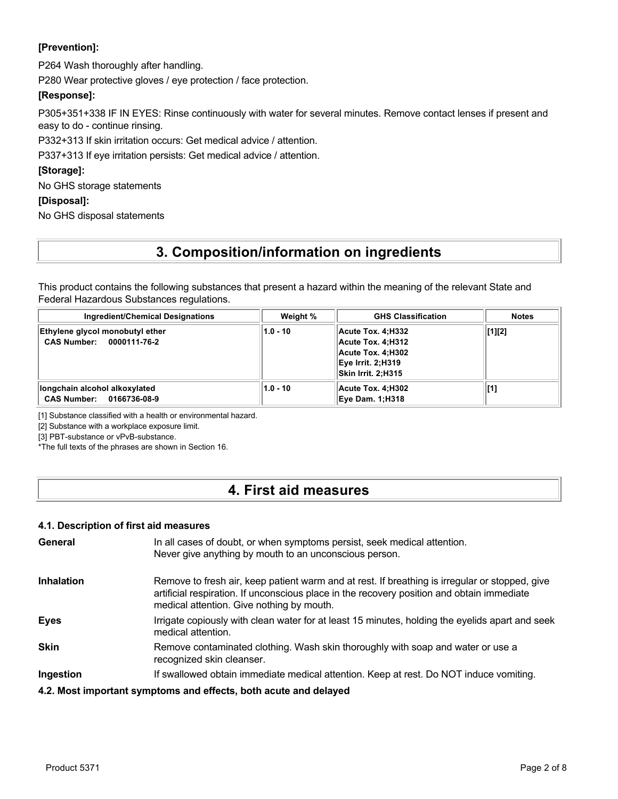### **[Prevention]:**

P264 Wash thoroughly after handling.

P280 Wear protective gloves / eye protection / face protection.

#### **[Response]:**

P305+351+338 IF IN EYES: Rinse continuously with water for several minutes. Remove contact lenses if present and easy to do - continue rinsing.

P332+313 If skin irritation occurs: Get medical advice / attention.

P337+313 If eye irritation persists: Get medical advice / attention.

#### **[Storage]:**

No GHS storage statements

#### **[Disposal]:**

No GHS disposal statements

## **3. Composition/information on ingredients**

This product contains the following substances that present a hazard within the meaning of the relevant State and Federal Hazardous Substances regulations.

| <b>Ingredient/Chemical Designations</b>                     | Weight %   | <b>GHS Classification</b>                                                                              | <b>Notes</b> |
|-------------------------------------------------------------|------------|--------------------------------------------------------------------------------------------------------|--------------|
| Ethylene glycol monobutyl ether<br>CAS Number: 0000111-76-2 | $1.0 - 10$ | Acute Tox. 4:H332<br>Acute Tox. 4:H312<br>Acute Tox. 4:H302<br>Eye Irrit. 2;H319<br>Skin Irrit. 2:H315 | [1][2]       |
| llongchain alcohol alkoxylated<br>CAS Number: 0166736-08-9  | $1.0 - 10$ | Acute Tox. 4:H302<br><b>Eye Dam. 1:H318</b>                                                            | [1]          |

[1] Substance classified with a health or environmental hazard.

[2] Substance with a workplace exposure limit.

[3] PBT-substance or vPvB-substance.

\*The full texts of the phrases are shown in Section 16.

## **4. First aid measures**

#### **4.1. Description of first aid measures**

| General           | In all cases of doubt, or when symptoms persist, seek medical attention.<br>Never give anything by mouth to an unconscious person.                                                                                                        |
|-------------------|-------------------------------------------------------------------------------------------------------------------------------------------------------------------------------------------------------------------------------------------|
| <b>Inhalation</b> | Remove to fresh air, keep patient warm and at rest. If breathing is irregular or stopped, give<br>artificial respiration. If unconscious place in the recovery position and obtain immediate<br>medical attention. Give nothing by mouth. |
| <b>Eyes</b>       | Irrigate copiously with clean water for at least 15 minutes, holding the eyelids apart and seek<br>medical attention.                                                                                                                     |
| <b>Skin</b>       | Remove contaminated clothing. Wash skin thoroughly with soap and water or use a<br>recognized skin cleanser.                                                                                                                              |
| Ingestion         | If swallowed obtain immediate medical attention. Keep at rest. Do NOT induce vomiting.                                                                                                                                                    |
|                   | 4.2. Most important symptoms and effects, both acute and delayed                                                                                                                                                                          |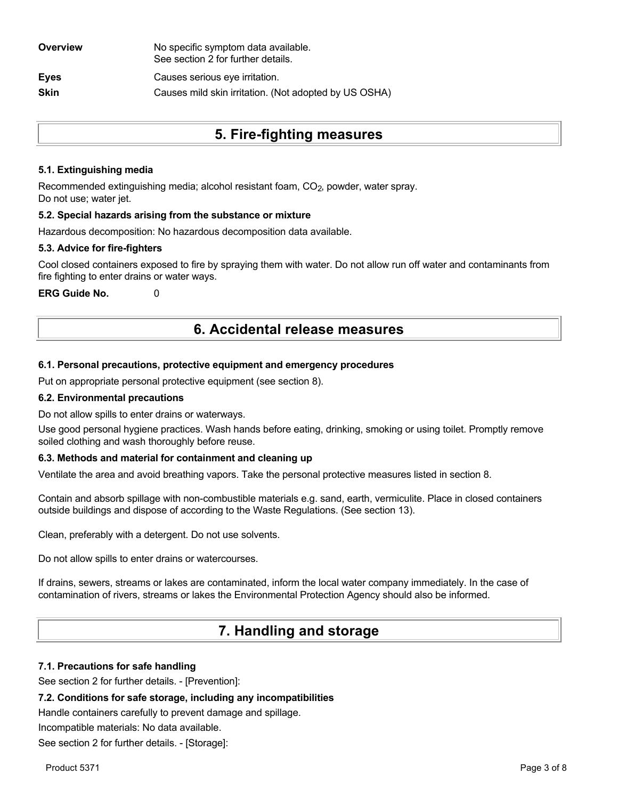| Overview    | No specific symptom data available.<br>See section 2 for further details. |
|-------------|---------------------------------------------------------------------------|
| <b>Eyes</b> | Causes serious eye irritation.                                            |
| <b>Skin</b> | Causes mild skin irritation. (Not adopted by US OSHA)                     |
|             |                                                                           |

## **5. Fire-fighting measures**

#### **5.1. Extinguishing media**

Recommended extinguishing media; alcohol resistant foam, CO<sub>2</sub>, powder, water spray. Do not use; water jet.

#### **5.2. Special hazards arising from the substance or mixture**

Hazardous decomposition: No hazardous decomposition data available.

#### **5.3. Advice for fire-fighters**

Cool closed containers exposed to fire by spraying them with water. Do not allow run off water and contaminants from fire fighting to enter drains or water ways.

**ERG Guide No.** 0

## **6. Accidental release measures**

#### **6.1. Personal precautions, protective equipment and emergency procedures**

Put on appropriate personal protective equipment (see section 8).

#### **6.2. Environmental precautions**

Do not allow spills to enter drains or waterways.

Use good personal hygiene practices. Wash hands before eating, drinking, smoking or using toilet. Promptly remove soiled clothing and wash thoroughly before reuse.

#### **6.3. Methods and material for containment and cleaning up**

Ventilate the area and avoid breathing vapors. Take the personal protective measures listed in section 8.

Contain and absorb spillage with non-combustible materials e.g. sand, earth, vermiculite. Place in closed containers outside buildings and dispose of according to the Waste Regulations. (See section 13).

Clean, preferably with a detergent. Do not use solvents.

Do not allow spills to enter drains or watercourses.

If drains, sewers, streams or lakes are contaminated, inform the local water company immediately. In the case of contamination of rivers, streams or lakes the Environmental Protection Agency should also be informed.

## **7. Handling and storage**

#### **7.1. Precautions for safe handling**

See section 2 for further details. - [Prevention]:

#### **7.2. Conditions for safe storage, including any incompatibilities**

Handle containers carefully to prevent damage and spillage.

Incompatible materials: No data available.

See section 2 for further details. - [Storage]: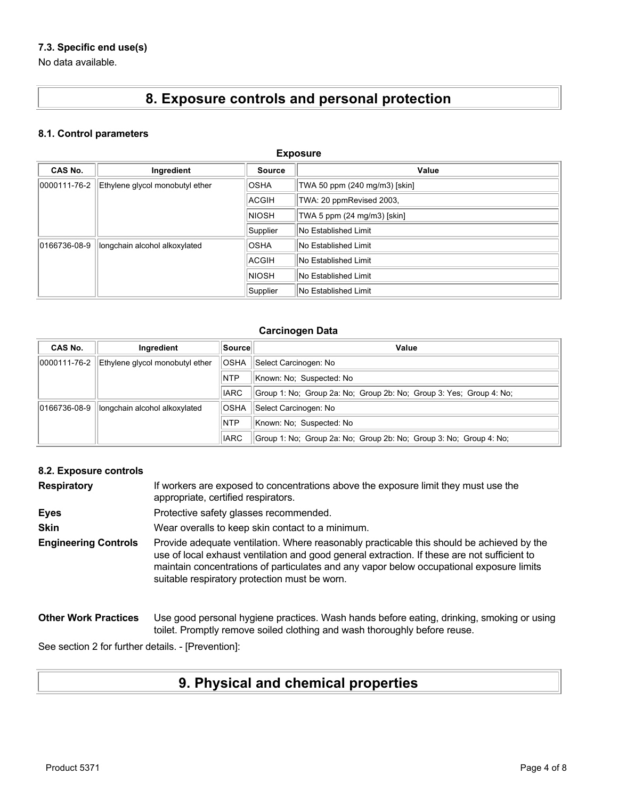### **7.3. Specific end use(s)**

No data available.

# **8. Exposure controls and personal protection**

#### **8.1. Control parameters**

| <b>Exposure</b> |                                 |              |                               |
|-----------------|---------------------------------|--------------|-------------------------------|
| <b>CAS No.</b>  | Ingredient                      | Source       | Value                         |
| 0000111-76-2    | Ethylene glycol monobutyl ether | <b>OSHA</b>  | TWA 50 ppm (240 mg/m3) [skin] |
|                 |                                 | ACGIH        | TWA: 20 ppmRevised 2003,      |
|                 |                                 | <b>NIOSH</b> | TWA 5 ppm (24 mg/m3) [skin]   |
|                 |                                 | Supplier     | No Established Limit          |
| 0166736-08-9    | longchain alcohol alkoxylated   | <b>OSHA</b>  | No Established Limit          |
|                 |                                 | <b>ACGIH</b> | No Established Limit          |
|                 |                                 | <b>NIOSH</b> | No Established Limit          |
|                 |                                 | Supplier     | No Established Limit          |

#### **Carcinogen Data**

| CAS No.      | Ingredient                      | Source      | Value                                                               |
|--------------|---------------------------------|-------------|---------------------------------------------------------------------|
| 0000111-76-2 | Ethylene glycol monobutyl ether | <b>OSHA</b> | Select Carcinogen: No                                               |
|              |                                 | <b>NTP</b>  | Known: No: Suspected: No                                            |
|              |                                 | <b>IARC</b> | Group 1: No: Group 2a: No: Group 2b: No: Group 3: Yes: Group 4: No: |
| 0166736-08-9 | longchain alcohol alkoxylated   | <b>OSHA</b> | Select Carcinogen: No                                               |
|              |                                 | <b>NTP</b>  | Known: No: Suspected: No                                            |
|              |                                 | <b>IARC</b> | Group 1: No: Group 2a: No: Group 2b: No: Group 3: No: Group 4: No:  |

#### **8.2. Exposure controls**

| <b>Respiratory</b>          | If workers are exposed to concentrations above the exposure limit they must use the<br>appropriate, certified respirators.                                                                                                                                                                                                             |
|-----------------------------|----------------------------------------------------------------------------------------------------------------------------------------------------------------------------------------------------------------------------------------------------------------------------------------------------------------------------------------|
| <b>Eyes</b>                 | Protective safety glasses recommended.                                                                                                                                                                                                                                                                                                 |
| <b>Skin</b>                 | Wear overalls to keep skin contact to a minimum.                                                                                                                                                                                                                                                                                       |
| <b>Engineering Controls</b> | Provide adequate ventilation. Where reasonably practicable this should be achieved by the<br>use of local exhaust ventilation and good general extraction. If these are not sufficient to<br>maintain concentrations of particulates and any vapor below occupational exposure limits<br>suitable respiratory protection must be worn. |
| <b>Other Work Practices</b> | Use good personal hygiene practices. Wash hands before eating, drinking, smoking or using<br>toilet. Promptly remove soiled clothing and wash thoroughly before reuse.                                                                                                                                                                 |

See section 2 for further details. - [Prevention]:

# **9. Physical and chemical properties**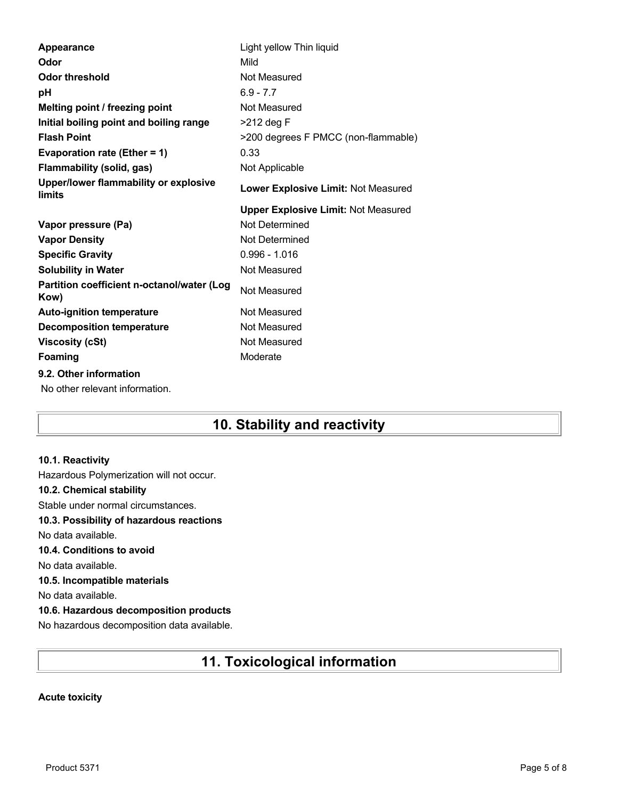| Appearance                                         | Light yellow Thin liquid                   |
|----------------------------------------------------|--------------------------------------------|
| Odor                                               | Mild                                       |
| <b>Odor threshold</b>                              | Not Measured                               |
| рH                                                 | $6.9 - 7.7$                                |
| Melting point / freezing point                     | Not Measured                               |
| Initial boiling point and boiling range            | >212 deg F                                 |
| <b>Flash Point</b>                                 | >200 degrees F PMCC (non-flammable)        |
| Evaporation rate (Ether = 1)                       | 0.33                                       |
| Flammability (solid, gas)                          | Not Applicable                             |
| Upper/lower flammability or explosive<br>limits    | Lower Explosive Limit: Not Measured        |
|                                                    | <b>Upper Explosive Limit: Not Measured</b> |
| Vapor pressure (Pa)                                | Not Determined                             |
| <b>Vapor Density</b>                               | Not Determined                             |
| <b>Specific Gravity</b>                            | $0.996 - 1.016$                            |
|                                                    |                                            |
| <b>Solubility in Water</b>                         | Not Measured                               |
| Partition coefficient n-octanol/water (Log<br>Kow) | Not Measured                               |
| <b>Auto-ignition temperature</b>                   | Not Measured                               |
| <b>Decomposition temperature</b>                   | Not Measured                               |
| <b>Viscosity (cSt)</b>                             | Not Measured                               |
| Foaming                                            | Moderate                                   |
| 9.2. Other information                             |                                            |
| No other relevant information.                     |                                            |

## **10. Stability and reactivity**

#### **10.1. Reactivity**

Hazardous Polymerization will not occur. **10.2. Chemical stability** Stable under normal circumstances. **10.3. Possibility of hazardous reactions** No data available. **10.4. Conditions to avoid** No data available. **10.5. Incompatible materials** No data available. **10.6. Hazardous decomposition products** No hazardous decomposition data available.

## **11. Toxicological information**

#### **Acute toxicity**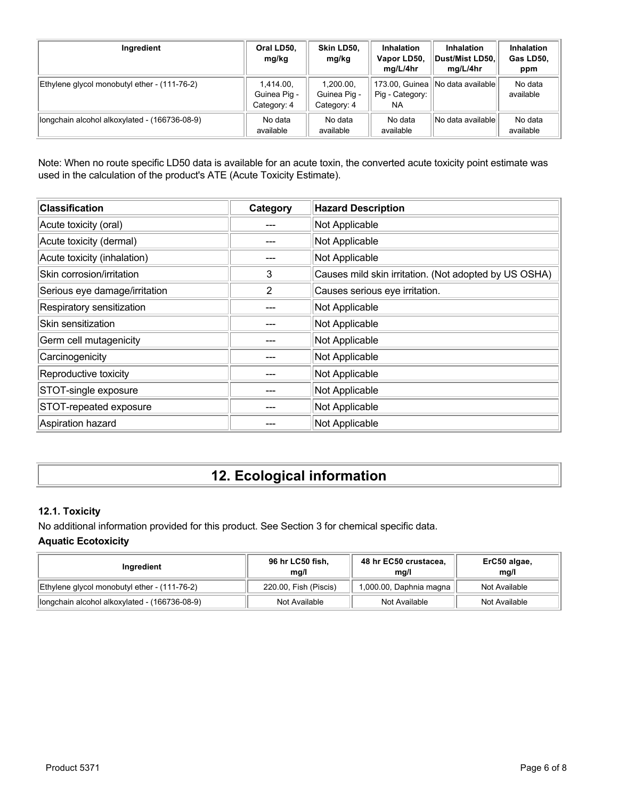| Ingredient                                    | Oral LD50,<br>mg/kg                      | Skin LD50,<br>mg/kg                      | <b>Inhalation</b><br>Vapor LD50,<br>mg/L/4hr | <b>Inhalation</b><br>Dust/Mist LD50.<br>mg/L/4hr | <b>Inhalation</b><br>Gas LD50,<br>ppm |
|-----------------------------------------------|------------------------------------------|------------------------------------------|----------------------------------------------|--------------------------------------------------|---------------------------------------|
| Ethylene glycol monobutyl ether - (111-76-2)  | 1,414.00,<br>Guinea Pig -<br>Category: 4 | 1,200.00,<br>Guinea Pig -<br>Category: 4 | Pig - Category:<br>NA                        | 173.00, Guinea    No data available              | No data<br>available                  |
| longchain alcohol alkoxylated - (166736-08-9) | No data<br>available                     | No data<br>available                     | No data<br>available                         | No data availablel                               | No data<br>available                  |

Note: When no route specific LD50 data is available for an acute toxin, the converted acute toxicity point estimate was used in the calculation of the product's ATE (Acute Toxicity Estimate).

| <b>Classification</b>         | Category | <b>Hazard Description</b>                             |
|-------------------------------|----------|-------------------------------------------------------|
| Acute toxicity (oral)         |          | Not Applicable                                        |
| Acute toxicity (dermal)       |          | Not Applicable                                        |
| Acute toxicity (inhalation)   |          | Not Applicable                                        |
| Skin corrosion/irritation     | 3        | Causes mild skin irritation. (Not adopted by US OSHA) |
| Serious eye damage/irritation | 2        | Causes serious eye irritation.                        |
| Respiratory sensitization     |          | Not Applicable                                        |
| Skin sensitization            |          | Not Applicable                                        |
| Germ cell mutagenicity        |          | Not Applicable                                        |
| Carcinogenicity               |          | Not Applicable                                        |
| Reproductive toxicity         |          | Not Applicable                                        |
| STOT-single exposure          |          | Not Applicable                                        |
| STOT-repeated exposure        |          | Not Applicable                                        |
| Aspiration hazard             |          | Not Applicable                                        |

# **12. Ecological information**

### **12.1. Toxicity**

No additional information provided for this product. See Section 3 for chemical specific data. **Aquatic Ecotoxicity**

| Ingredient                                    | 96 hr LC50 fish,<br>mq/l | 48 hr EC50 crustacea,<br>mq/l | ErC50 algae,<br>mq/l |
|-----------------------------------------------|--------------------------|-------------------------------|----------------------|
| Ethylene glycol monobutyl ether - (111-76-2)  | 220.00, Fish (Piscis)    | 1,000.00, Daphnia magna       | Not Available        |
| longchain alcohol alkoxylated - (166736-08-9) | Not Available            | Not Available                 | Not Available        |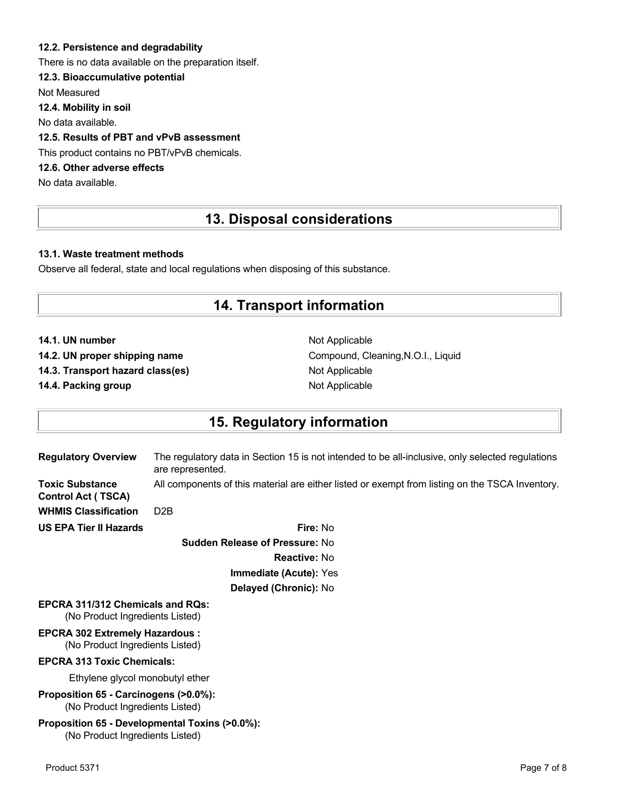#### **12.2. Persistence and degradability**

There is no data available on the preparation itself.

#### **12.3. Bioaccumulative potential**

Not Measured

**12.4. Mobility in soil**

No data available.

### **12.5. Results of PBT and vPvB assessment**

This product contains no PBT/vPvB chemicals.

### **12.6. Other adverse effects**

No data available.

## **13. Disposal considerations**

#### **13.1. Waste treatment methods**

Observe all federal, state and local regulations when disposing of this substance.

## **14. Transport information**

**14.1. UN number** Not Applicable

**14.3. Transport hazard class(es)** Not Applicable

**14.4. Packing group Not Applicable Not Applicable** 

14.2. UN proper shipping name **Compound, Cleaning, N.O.I., Liquid** Compound, Cleaning, N.O.I., Liquid

## **15. Regulatory information**

| <b>Regulatory Overview</b>                                                        | The regulatory data in Section 15 is not intended to be all-inclusive, only selected regulations<br>are represented. |
|-----------------------------------------------------------------------------------|----------------------------------------------------------------------------------------------------------------------|
| <b>Toxic Substance</b><br><b>Control Act (TSCA)</b>                               | All components of this material are either listed or exempt from listing on the TSCA Inventory.                      |
| <b>WHMIS Classification</b>                                                       | D <sub>2</sub> B                                                                                                     |
| <b>US EPA Tier II Hazards</b>                                                     | Fire: No                                                                                                             |
|                                                                                   | <b>Sudden Release of Pressure: No</b>                                                                                |
|                                                                                   | Reactive: No                                                                                                         |
|                                                                                   | Immediate (Acute): Yes                                                                                               |
|                                                                                   | Delayed (Chronic): No                                                                                                |
| <b>EPCRA 311/312 Chemicals and RQs:</b><br>(No Product Ingredients Listed)        |                                                                                                                      |
| <b>EPCRA 302 Extremely Hazardous:</b><br>(No Product Ingredients Listed)          |                                                                                                                      |
| <b>EPCRA 313 Toxic Chemicals:</b>                                                 |                                                                                                                      |
| Ethylene glycol monobutyl ether                                                   |                                                                                                                      |
| Proposition 65 - Carcinogens (>0.0%):<br>(No Product Ingredients Listed)          |                                                                                                                      |
| Proposition 65 - Developmental Toxins (>0.0%):<br>(No Product Ingredients Listed) |                                                                                                                      |